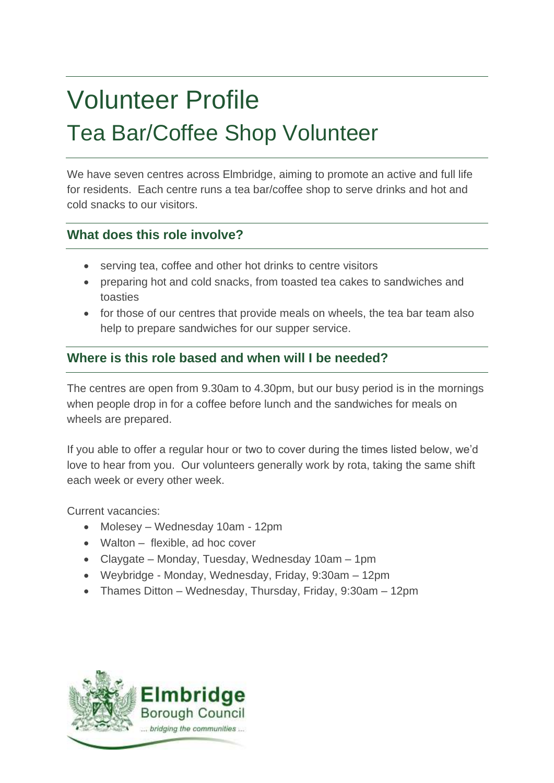# Volunteer Profile Tea Bar/Coffee Shop Volunteer

We have seven centres across Elmbridge, aiming to promote an active and full life for residents. Each centre runs a tea bar/coffee shop to serve drinks and hot and cold snacks to our visitors.

# **What does this role involve?**

- serving tea, coffee and other hot drinks to centre visitors
- preparing hot and cold snacks, from toasted tea cakes to sandwiches and toasties
- for those of our centres that provide meals on wheels, the tea bar team also help to prepare sandwiches for our supper service.

# **Where is this role based and when will I be needed?**

The centres are open from 9.30am to 4.30pm, but our busy period is in the mornings when people drop in for a coffee before lunch and the sandwiches for meals on wheels are prepared.

If you able to offer a regular hour or two to cover during the times listed below, we'd love to hear from you. Our volunteers generally work by rota, taking the same shift each week or every other week.

Current vacancies:

- Molesey Wednesday 10am 12pm
- Walton flexible, ad hoc cover
- Claygate Monday, Tuesday, Wednesday 10am 1pm
- Weybridge Monday, Wednesday, Friday, 9:30am 12pm
- Thames Ditton Wednesday, Thursday, Friday, 9:30am 12pm